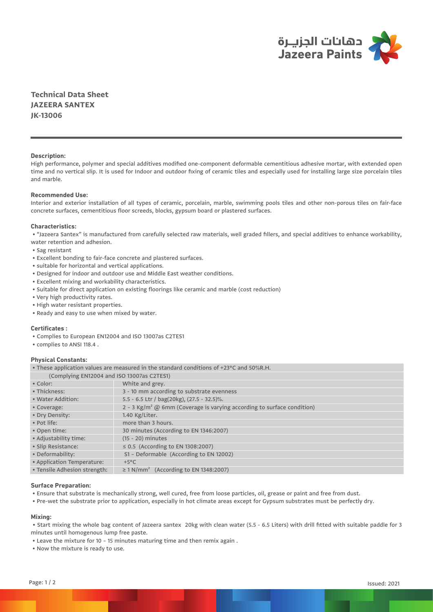

**Technical Data Sheet JAZEERA SANTEX JK-13006**

## **Description:**

High performance, polymer and special additives modified one-component deformable cementitious adhesive mortar, with extended open time and no vertical slip. It is used for Indoor and outdoor fixing of ceramic tiles and especially used for installing large size porcelain tiles and marble.

## **Recommended Use:**

Interior and exterior installation of all types of ceramic, porcelain, marble, swimming pools tiles and other non-porous tiles on fair-face concrete surfaces, cementitious floor screeds, blocks, gypsum board or plastered surfaces.

### **Characteristics:**

 • "Jazeera Santex" is manufactured from carefully selected raw materials, well graded fillers, and special additives to enhance workability, water retention and adhesion.

- Sag resistant
- Excellent bonding to fair-face concrete and plastered surfaces.
- suitable for horizontal and vertical applications.
- Designed for indoor and outdoor use and Middle East weather conditions.
- Excellent mixing and workability characteristics.
- Suitable for direct application on existing floorings like ceramic and marble (cost reduction)
- Very high productivity rates.
- High water resistant properties.
- Ready and easy to use when mixed by water.

## **Certificates :**

- Complies to European EN12004 and ISO 13007as C2TES1
- complies to ANSI 118.4 .

## **Physical Constants:**

• These application values are measured in the standard conditions of +23°C and 50%R.H.

| (Complying EN12004 and ISO 13007as C2TES1)                                         |  |  |  |
|------------------------------------------------------------------------------------|--|--|--|
| White and grey.                                                                    |  |  |  |
| 3 - 10 mm according to substrate evenness                                          |  |  |  |
| 5.5 - 6.5 Ltr / bag(20kg), (27.5 - 32.5)%.                                         |  |  |  |
| 2 - 3 Kg/m <sup>2</sup> @ 6mm (Coverage is varying according to surface condition) |  |  |  |
| 1.40 Kg/Liter.                                                                     |  |  |  |
| more than 3 hours.                                                                 |  |  |  |
| 30 minutes (According to EN 1346:2007)                                             |  |  |  |
| $(15 - 20)$ minutes                                                                |  |  |  |
| ≤ 0.5 (According to EN 1308:2007)                                                  |  |  |  |
| S1 - Deformable (According to EN 12002)                                            |  |  |  |
| $+5^{\circ}$ C                                                                     |  |  |  |
| $\geq$ 1 N/mm <sup>2</sup> (According to EN 1348:2007)                             |  |  |  |
|                                                                                    |  |  |  |

#### **Surface Preparation:**

- Ensure that substrate is mechanically strong, well cured, free from loose particles, oil, grease or paint and free from dust.
- Pre-wet the substrate prior to application, especially in hot climate areas except for Gypsum substrates must be perfectly dry.

#### **Mixing:**

 • Start mixing the whole bag content of Jazeera santex 20kg with clean water (5.5 - 6.5 Liters) with drill fitted with suitable paddle for 3 minutes until homogenous lump free paste.

- Leave the mixture for 10 15 minutes maturing time and then remix again .
- Now the mixture is ready to use.